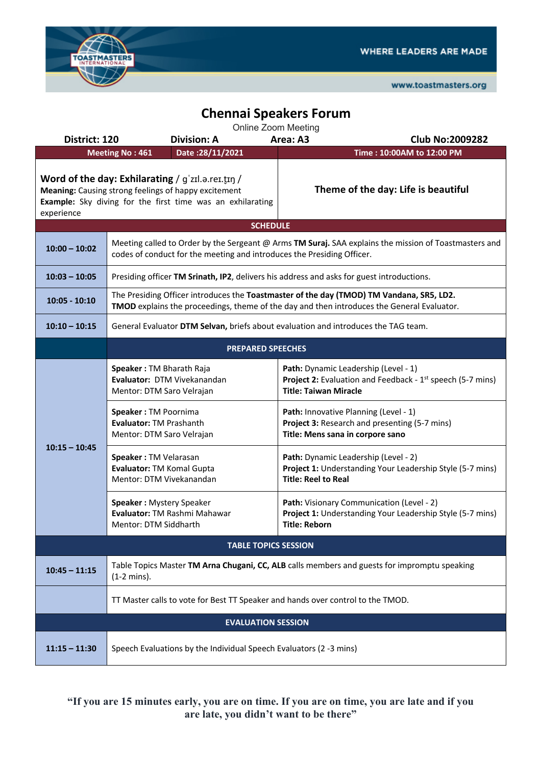

www.toastmasters.org

## **Chennai Speakers Forum**

| District: 120               | <b>Division: A</b>                                                                                                                                                                     | Area: A3<br><b>Club No:2009282</b>                                                                                                                    |  |  |  |  |  |  |
|-----------------------------|----------------------------------------------------------------------------------------------------------------------------------------------------------------------------------------|-------------------------------------------------------------------------------------------------------------------------------------------------------|--|--|--|--|--|--|
|                             | Date: 28/11/2021<br><b>Meeting No: 461</b>                                                                                                                                             | Time: 10:00AM to 12:00 PM                                                                                                                             |  |  |  |  |  |  |
| experience                  | Word of the day: Exhilarating / g'zɪl.a.reɪ.t̪ɪŋ /<br>Meaning: Causing strong feelings of happy excitement<br>Example: Sky diving for the first time was an exhilarating               | Theme of the day: Life is beautiful                                                                                                                   |  |  |  |  |  |  |
| <b>SCHEDULE</b>             |                                                                                                                                                                                        |                                                                                                                                                       |  |  |  |  |  |  |
| $10:00 - 10:02$             | Meeting called to Order by the Sergeant @ Arms TM Suraj. SAA explains the mission of Toastmasters and<br>codes of conduct for the meeting and introduces the Presiding Officer.        |                                                                                                                                                       |  |  |  |  |  |  |
| $10:03 - 10:05$             | Presiding officer TM Srinath, IP2, delivers his address and asks for guest introductions.                                                                                              |                                                                                                                                                       |  |  |  |  |  |  |
| $10:05 - 10:10$             | The Presiding Officer introduces the Toastmaster of the day (TMOD) TM Vandana, SR5, LD2.<br>TMOD explains the proceedings, theme of the day and then introduces the General Evaluator. |                                                                                                                                                       |  |  |  |  |  |  |
| $10:10 - 10:15$             | General Evaluator DTM Selvan, briefs about evaluation and introduces the TAG team.                                                                                                     |                                                                                                                                                       |  |  |  |  |  |  |
|                             | <b>PREPARED SPEECHES</b>                                                                                                                                                               |                                                                                                                                                       |  |  |  |  |  |  |
| $10:15 - 10:45$             | Speaker: TM Bharath Raja<br>Evaluator: DTM Vivekanandan<br>Mentor: DTM Saro Velrajan                                                                                                   | Path: Dynamic Leadership (Level - 1)<br><b>Project 2:</b> Evaluation and Feedback - 1 <sup>st</sup> speech (5-7 mins)<br><b>Title: Taiwan Miracle</b> |  |  |  |  |  |  |
|                             | Speaker: TM Poornima<br><b>Evaluator: TM Prashanth</b><br>Mentor: DTM Saro Velrajan                                                                                                    | Path: Innovative Planning (Level - 1)<br>Project 3: Research and presenting (5-7 mins)<br>Title: Mens sana in corpore sano                            |  |  |  |  |  |  |
|                             | Speaker: TM Velarasan<br>Evaluator: TM Komal Gupta<br>Mentor: DTM Vivekanandan                                                                                                         | Path: Dynamic Leadership (Level - 2)<br>Project 1: Understanding Your Leadership Style (5-7 mins)<br><b>Title: Reel to Real</b>                       |  |  |  |  |  |  |
|                             | Speaker: Mystery Speaker<br>Evaluator: TM Rashmi Mahawar<br>Mentor: DTM Siddharth                                                                                                      | Path: Visionary Communication (Level - 2)<br>Project 1: Understanding Your Leadership Style (5-7 mins)<br><b>Title: Reborn</b>                        |  |  |  |  |  |  |
| <b>TABLE TOPICS SESSION</b> |                                                                                                                                                                                        |                                                                                                                                                       |  |  |  |  |  |  |
| $10:45 - 11:15$             | Table Topics Master TM Arna Chugani, CC, ALB calls members and guests for impromptu speaking<br>$(1-2 \text{ mins})$ .                                                                 |                                                                                                                                                       |  |  |  |  |  |  |
|                             | TT Master calls to vote for Best TT Speaker and hands over control to the TMOD.                                                                                                        |                                                                                                                                                       |  |  |  |  |  |  |
| <b>EVALUATION SESSION</b>   |                                                                                                                                                                                        |                                                                                                                                                       |  |  |  |  |  |  |
| $11:15 - 11:30$             | Speech Evaluations by the Individual Speech Evaluators (2 -3 mins)                                                                                                                     |                                                                                                                                                       |  |  |  |  |  |  |

**"If you are 15 minutes early, you are on time. If you are on time, you are late and if you are late, you didn't want to be there"**